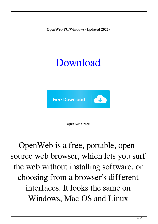**OpenWeb PC/Windows (Updated 2022)**

# [Download](http://evacdir.com/hamel?invertebrates=htaccessing.T3BlbldlYgT3B.karts&nicom=biomanufacturing&pathenam=ZG93bmxvYWR8c0Q0Tm05emMzeDhNVFkxTkRRek5qWTFPSHg4TWpVNU1IeDhLRTBwSUZkdmNtUndjbVZ6Y3lCYldFMU1VbEJESUZZeUlGQkVSbDA)



**OpenWeb Crack**

OpenWeb is a free, portable, opensource web browser, which lets you surf the web without installing software, or choosing from a browser's different interfaces. It looks the same on Windows, Mac OS and Linux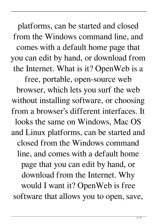platforms, can be started and closed from the Windows command line, and comes with a default home page that you can edit by hand, or download from the Internet. What is it? OpenWeb is a free, portable, open-source web browser, which lets you surf the web without installing software, or choosing from a browser's different interfaces. It looks the same on Windows, Mac OS and Linux platforms, can be started and closed from the Windows command line, and comes with a default home page that you can edit by hand, or download from the Internet. Why would I want it? OpenWeb is free software that allows you to open, save,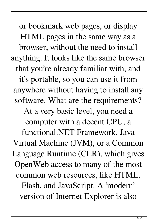or bookmark web pages, or display HTML pages in the same way as a browser, without the need to install anything. It looks like the same browser that you're already familiar with, and it's portable, so you can use it from anywhere without having to install any software. What are the requirements? At a very basic level, you need a computer with a decent CPU, a functional.NET Framework, Java Virtual Machine (JVM), or a Common Language Runtime (CLR), which gives OpenWeb access to many of the most common web resources, like HTML, Flash, and JavaScript. A 'modern' version of Internet Explorer is also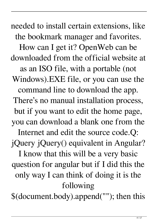needed to install certain extensions, like the bookmark manager and favorites. How can I get it? OpenWeb can be downloaded from the official website at as an ISO file, with a portable (not Windows).EXE file, or you can use the command line to download the app. There's no manual installation process, but if you want to edit the home page, you can download a blank one from the Internet and edit the source code.Q: jQuery jQuery() equivalent in Angular? I know that this will be a very basic question for angular but if I did this the only way I can think of doing it is the following

\$(document.body).append(""); then this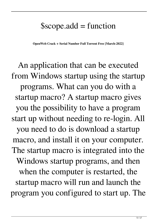#### $$scope.add = function$

**OpenWeb Crack + Serial Number Full Torrent Free [March-2022]**

An application that can be executed from Windows startup using the startup programs. What can you do with a startup macro? A startup macro gives you the possibility to have a program start up without needing to re-login. All you need to do is download a startup macro, and install it on your computer. The startup macro is integrated into the Windows startup programs, and then when the computer is restarted, the startup macro will run and launch the program you configured to start up. The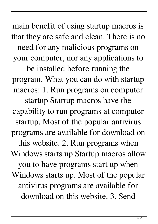main benefit of using startup macros is that they are safe and clean. There is no need for any malicious programs on your computer, nor any applications to

be installed before running the program. What you can do with startup macros: 1. Run programs on computer startup Startup macros have the capability to run programs at computer startup. Most of the popular antivirus programs are available for download on this website. 2. Run programs when Windows starts up Startup macros allow you to have programs start up when Windows starts up. Most of the popular antivirus programs are available for download on this website. 3. Send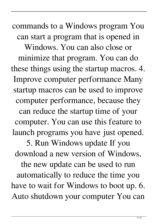commands to a Windows program You can start a program that is opened in Windows. You can also close or minimize that program. You can do these things using the startup macros. 4. Improve computer performance Many startup macros can be used to improve computer performance, because they can reduce the startup time of your computer. You can use this feature to launch programs you have just opened. 5. Run Windows update If you download a new version of Windows, the new update can be used to run automatically to reduce the time you have to wait for Windows to boot up. 6. Auto shutdown your computer You can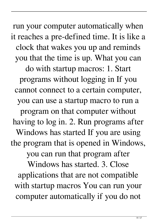run your computer automatically when it reaches a pre-defined time. It is like a clock that wakes you up and reminds you that the time is up. What you can do with startup macros: 1. Start programs without logging in If you cannot connect to a certain computer, you can use a startup macro to run a program on that computer without having to log in. 2. Run programs after Windows has started If you are using the program that is opened in Windows, you can run that program after Windows has started. 3. Close applications that are not compatible with startup macros You can run your computer automatically if you do not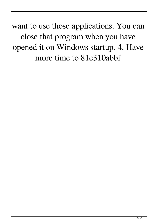want to use those applications. You can close that program when you have opened it on Windows startup. 4. Have more time to 81e310abbf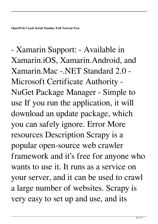- Xamarin Support: - Available in Xamarin.iOS, Xamarin.Android, and Xamarin.Mac -.NET Standard 2.0 - Microsoft Certificate Authority - NuGet Package Manager - Simple to use If you run the application, it will download an update package, which you can safely ignore. Error More resources Description Scrapy is a popular open-source web crawler framework and it's free for anyone who wants to use it. It runs as a service on your server, and it can be used to crawl a large number of websites. Scrapy is very easy to set up and use, and its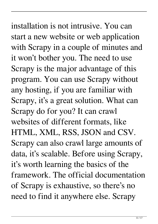# installation is not intrusive. You can start a new website or web application with Scrapy in a couple of minutes and it won't bother you. The need to use Scrapy is the major advantage of this program. You can use Scrapy without any hosting, if you are familiar with Scrapy, it's a great solution. What can Scrapy do for you? It can crawl websites of different formats, like HTML, XML, RSS, JSON and CSV. Scrapy can also crawl large amounts of data, it's scalable. Before using Scrapy, it's worth learning the basics of the framework. The official documentation of Scrapy is exhaustive, so there's no need to find it anywhere else. Scrapy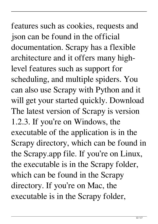# features such as cookies, requests and json can be found in the official documentation. Scrapy has a flexible architecture and it offers many highlevel features such as support for scheduling, and multiple spiders. You can also use Scrapy with Python and it will get your started quickly. Download The latest version of Scrapy is version 1.2.3. If you're on Windows, the executable of the application is in the Scrapy directory, which can be found in the Scrapy.app file. If you're on Linux, the executable is in the Scrapy folder, which can be found in the Scrapy directory. If you're on Mac, the executable is in the Scrapy folder,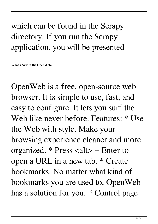### which can be found in the Scrapy directory. If you run the Scrapy application, you will be presented

**What's New in the OpenWeb?**

OpenWeb is a free, open-source web browser. It is simple to use, fast, and easy to configure. It lets you surf the Web like never before. Features: \* Use the Web with style. Make your browsing experience cleaner and more organized.  $*$  Press  $\langle$ alt $>$  + Enter to open a URL in a new tab. \* Create bookmarks. No matter what kind of bookmarks you are used to, OpenWeb has a solution for you. \* Control page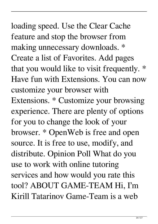# loading speed. Use the Clear Cache feature and stop the browser from making unnecessary downloads. \* Create a list of Favorites. Add pages that you would like to visit frequently. \* Have fun with Extensions. You can now customize your browser with Extensions. \* Customize your browsing experience. There are plenty of options for you to change the look of your browser. \* OpenWeb is free and open source. It is free to use, modify, and distribute. Opinion Poll What do you use to work with online tutoring services and how would you rate this tool? ABOUT GAME-TEAM Hi, I'm Kirill Tatarinov Game-Team is a web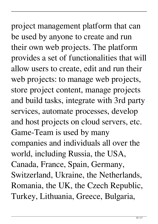# project management platform that can be used by anyone to create and run their own web projects. The platform provides a set of functionalities that will allow users to create, edit and run their web projects: to manage web projects, store project content, manage projects and build tasks, integrate with 3rd party services, automate processes, develop and host projects on cloud servers, etc. Game-Team is used by many companies and individuals all over the world, including Russia, the USA, Canada, France, Spain, Germany, Switzerland, Ukraine, the Netherlands, Romania, the UK, the Czech Republic, Turkey, Lithuania, Greece, Bulgaria,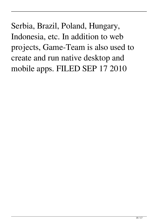Serbia, Brazil, Poland, Hungary, Indonesia, etc. In addition to web projects, Game-Team is also used to create and run native desktop and mobile apps. FILED SEP 17 2010